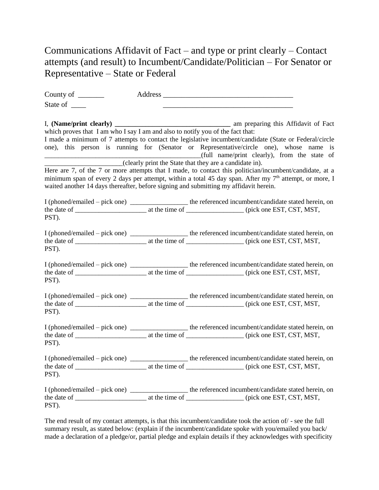## Communications Affidavit of Fact – and type or print clearly – Contact attempts (and result) to Incumbent/Candidate/Politician – For Senator or Representative – State or Federal

| County of $\_\_$                                                                      |                                                         |                                                                                                                                                                                                                                                                                                                                                             |
|---------------------------------------------------------------------------------------|---------------------------------------------------------|-------------------------------------------------------------------------------------------------------------------------------------------------------------------------------------------------------------------------------------------------------------------------------------------------------------------------------------------------------------|
| State of                                                                              |                                                         |                                                                                                                                                                                                                                                                                                                                                             |
| which proves that I am who I say I am and also to notify you of the fact that:        | (clearly print the State that they are a candidate in). | I made a minimum of 7 attempts to contact the legislative incumbent/candidate (State or Federal/circle<br>one), this person is running for (Senator or Representative/circle one), whose name is<br>(full name/print clearly), from the state of<br>Here are 7, of the 7 or more attempts that I made, to contact this politician/incumbent/candidate, at a |
| waited another 14 days thereafter, before signing and submitting my affidavit herein. |                                                         | minimum span of every 2 days per attempt, within a total 45 day span. After my 7 <sup>th</sup> attempt, or more, I                                                                                                                                                                                                                                          |
| PST).                                                                                 |                                                         | I (phoned/emailed - pick one) ______________ the referenced incumbent/candidate stated herein, on                                                                                                                                                                                                                                                           |
| PST).                                                                                 |                                                         | I (phoned/emailed – pick one) ___________________ the referenced incumbent/candidate stated herein, on                                                                                                                                                                                                                                                      |
| PST).                                                                                 |                                                         | I (phoned/emailed - pick one) ______________ the referenced incumbent/candidate stated herein, on                                                                                                                                                                                                                                                           |
| PST).                                                                                 |                                                         |                                                                                                                                                                                                                                                                                                                                                             |
| PST).                                                                                 |                                                         |                                                                                                                                                                                                                                                                                                                                                             |
| PST).                                                                                 |                                                         | I (phoned/emailed – pick one) ______________ the referenced incumbent/candidate stated herein, on                                                                                                                                                                                                                                                           |
| PST).                                                                                 |                                                         |                                                                                                                                                                                                                                                                                                                                                             |

The end result of my contact attempts, is that this incumbent/candidate took the action of/ - see the full summary result, as stated below: (explain if the incumbent/candidate spoke with you/emailed you back/ made a declaration of a pledge/or, partial pledge and explain details if they acknowledges with specificity